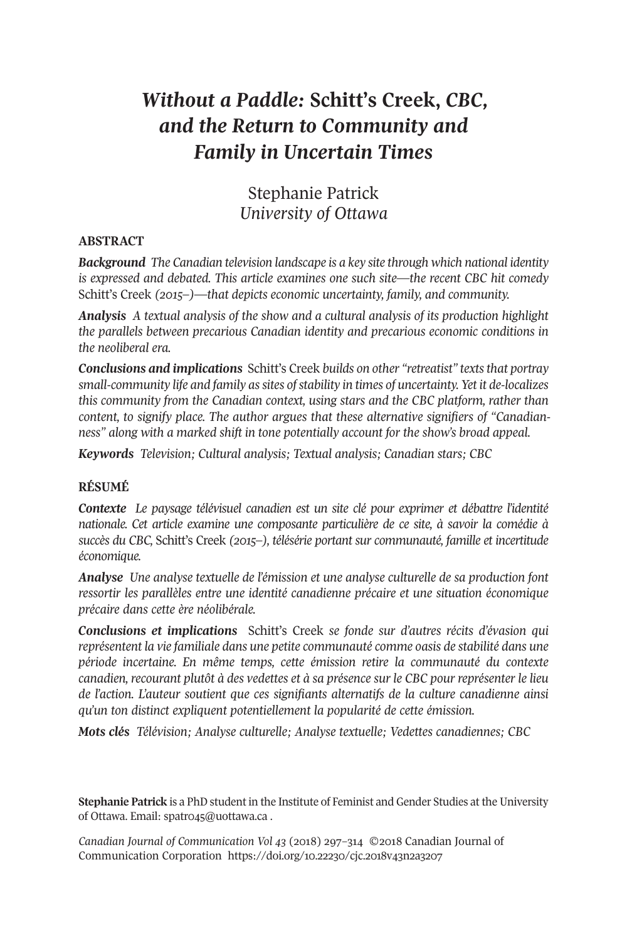# *Without a Paddle:* **Schitt's Creek,** *CBC, and the Return to Community and Family in Uncertain Times*

# Stephanie Patrick *University of Ottawa*

# **ABSTRACT**

*Background The Canadian television landscape is a key site through which national identity is expressed and debated. This article examines one such site—the recent CBC hit comedy* Schitt's Creek *(2015–)—that depicts economic uncertainty, family, and community.*

*Analysis A textual analysis of the show and a cultural analysis of its production highlight the parallels between precarious Canadian identity and precarious economic conditions in the neoliberal era.*

*Conclusions and implications* Schitt's Creek *builds* on other "retreatist" texts that portray *small-community life and family assites ofstability in times of uncertainty. Yet it de-localizes this community from the Canadian context, using stars and the CBC platform, rather than content, to signify place. The author argues that these alternative signifiers of "Canadianness" along with a marked shift in tone potentially account for the show's broad appeal.*

*Keywords Television; Cultural analysis; Textual analysis; Canadian stars; CBC*

# **RÉSUMÉ**

*Contexte Le paysage télévisuel canadien est un site clé pour exprimer et débattre l'identité nationale. Cet article examine une composante particulière de ce site, à savoir la comédie à succès du CBC,* Schitt's Creek *(2015–), télésérie portant sur communauté, famille et incertitude économique.*

*Analyse Une analyse textuelle de l'émission et une analyse culturelle de sa production font ressortir les parallèles entre une identité canadienne précaire et une situation économique précaire dans cette ère néolibérale.*

*Conclusions et implications* Schitt's Creek *se fonde sur d'autres récits d'évasion qui représentent la vie familiale dans une petite communauté comme oasis de stabilité dans une période incertaine. En même temps, cette émission retire la communauté du contexte canadien, recourant plutôt à des vedettes et à sa présence sur le CBC pour représenter le lieu de l'action. L'auteur soutient que ces signifiants alternatifs de la culture canadienne ainsi qu'un ton distinct expliquent potentiellement la popularité de cette émission.*

*Mots clés Télévision; Analyse culturelle; Analyse textuelle; Vedettes canadiennes; CBC*

**Stephanie Patrick** is a PhD student in the Institute of Feminist and Gender Studies at the University of Ottawa. Email: [spatr045@uottawa.ca](mailto:spatr045@uottawa.ca) .

*Canadian Journal of [Communication](http://www.cjc-online.ca) Vol 43* (2018) 297–314 ©2018 Canadian Journal of Communication Corporation <https://doi.org/10.22230/cjc.2018v43n2a3207>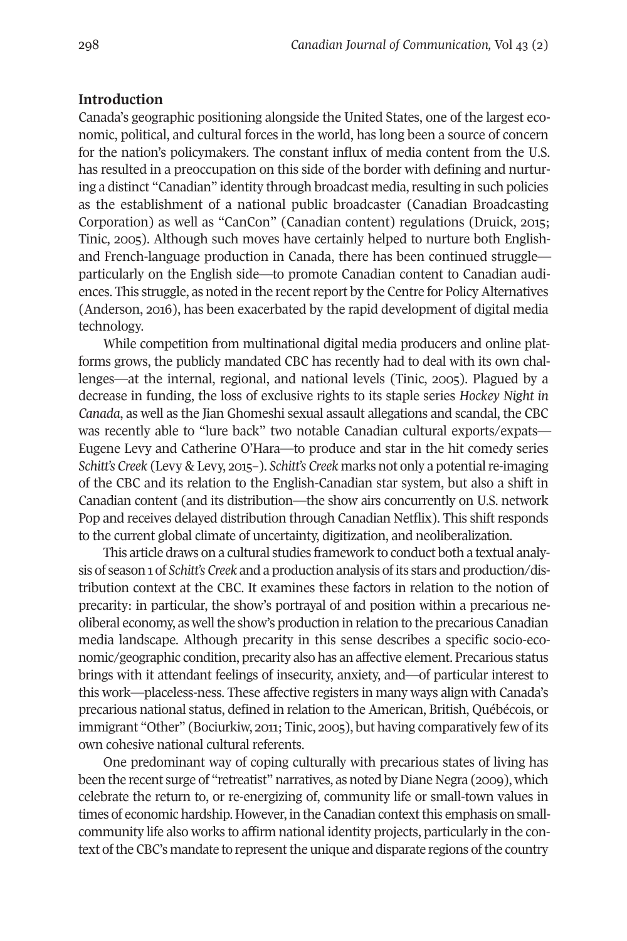# **Introduction**

Canada's geographic positioning alongside the United States, one of the largest economic, political, and cultural forces in the world, has long been a source of concern for the nation's policymakers. The constant influx of media content from the U.S. has resulted in a preoccupation on this side of the border with defining and nurturing a distinct "Canadian" identity through broadcast media, resulting in such policies as the establishment of a national public broadcaster (Canadian Broadcasting Corporation) as well as "CanCon" (Canadian content) regulations (Druick, 2015; Tinic, 2005). Although such moves have certainly helped to nurture both Englishand French-language production in Canada, there has been continued struggle particularly on the English side—to promote Canadian content to Canadian audiences. This struggle, as noted in the recent report by the Centre for Policy Alternatives (Anderson, 2016), has been exacerbated by the rapid development of digital media technology.

While competition from multinational digital media producers and online platforms grows, the publicly mandated CBC has recently had to deal with its own challenges—at the internal, regional, and national levels (Tinic, 2005). Plagued by a decrease in funding, the loss of exclusive rights to its staple series *Hockey Night in Canada*, as well as the Jian Ghomeshi sexual assault allegations and scandal, the CBC was recently able to "lure back" two notable Canadian cultural exports/expats— Eugene Levy and Catherine O'Hara—to produce and star in the hit comedy series *Schitt's Creek* (Levy & Levy, 2015–). *Schitt's Creek* marks not only a potential re-imaging of the CBC and its relation to the English-Canadian star system, but also a shift in Canadian content (and its distribution—the show airs concurrently on U.S. network Pop and receives delayed distribution through Canadian Netflix). This shift responds to the current global climate of uncertainty, digitization, and neoliberalization.

This article draws on a cultural studies framework to conduct both a textual analysis of season 1 of *Schitt's Creek* and a production analysis of its stars and production/distribution context at the CBC. It examines these factors in relation to the notion of precarity: in particular, the show's portrayal of and position within a precarious neoliberal economy, as well the show's production in relation to the precarious Canadian media landscape. Although precarity in this sense describes a specific socio-economic/geographic condition, precarity also has an affective element. Precarious status brings with it attendant feelings of insecurity, anxiety, and—of particular interest to this work—placeless-ness. These affective registers in many ways align with Canada's precarious national status, defined in relation to the American, British, Québécois, or immigrant "Other" (Bociurkiw, 2011; Tinic, 2005), but having comparatively few of its own cohesive national cultural referents.

One predominant way of coping culturally with precarious states of living has been the recent surge of "retreatist" narratives, as noted by Diane Negra (2009), which celebrate the return to, or re-energizing of, community life or small-town values in times of economic hardship. However, in the Canadian context this emphasis on smallcommunity life also works to affirm national identity projects, particularly in the context ofthe CBC's mandate to representthe unique and disparate regions ofthe country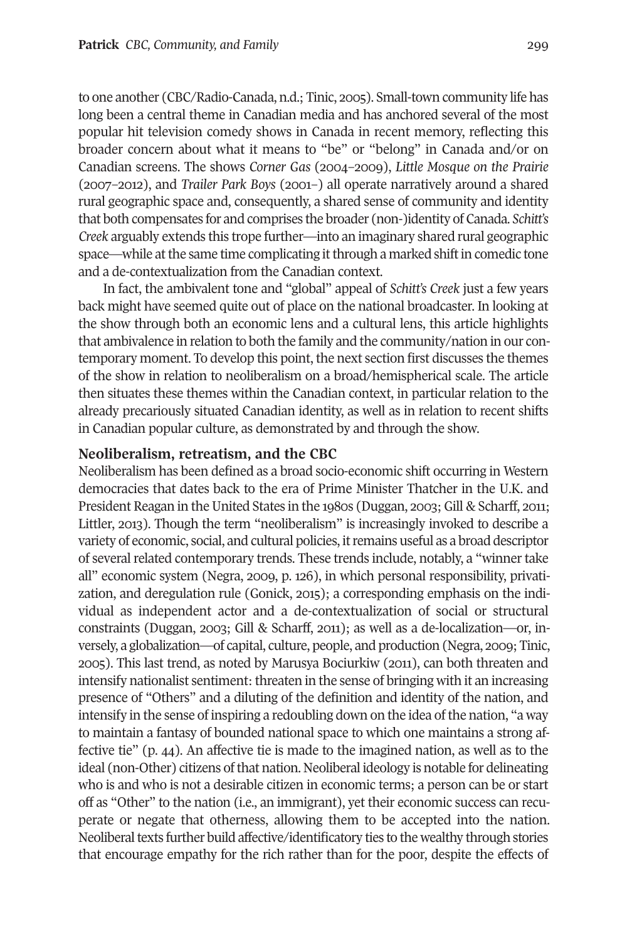to one another (CBC/Radio-Canada, n.d.; Tinic, 2005). Small-town community life has long been a central theme in Canadian media and has anchored several of the most popular hit television comedy shows in Canada in recent memory, reflecting this broader concern about what it means to "be" or "belong" in Canada and/or on Canadian screens. The shows *Corner Gas* (2004–2009), *Little Mosque on the Prairie* (2007–2012), and *Trailer Park Boys* (2001–) all operate narratively around a shared rural geographic space and, consequently, a shared sense of community and identity that both compensates for and comprises the broader (non-)identity of Canada. *Schitt's Creek* arguably extends this trope further—into an imaginary shared rural geographic space—while at the same time complicating it through a marked shift in comedic tone and a de-contextualization from the Canadian context.

In fact, the ambivalent tone and "global" appeal of *Schitt's Creek* just a few years back might have seemed quite out of place on the national broadcaster. In looking at the show through both an economic lens and a cultural lens, this article highlights that ambivalence in relation to both the family and the community/nation in our contemporary moment. To develop this point, the next section first discusses the themes of the show in relation to neoliberalism on a broad/hemispherical scale. The article then situates these themes within the Canadian context, in particular relation to the already precariously situated Canadian identity, as well as in relation to recent shifts in Canadian popular culture, as demonstrated by and through the show.

#### **Neoliberalism, retreatism, and the CBC**

Neoliberalism has been defined as a broad socio-economic shift occurring in Western democracies that dates back to the era of Prime Minister Thatcher in the U.K. and President Reagan in the United States in the 1980s (Duggan, 2003; Gill & Scharff, 2011; Littler, 2013). Though the term "neoliberalism" is increasingly invoked to describe a variety of economic, social, and cultural policies, itremains useful as a broad descriptor of several related contemporary trends. These trends include, notably, a "winner take all" economic system (Negra, 2009, p. 126), in which personal responsibility, privatization, and deregulation rule (Gonick, 2015); a corresponding emphasis on the individual as independent actor and a de-contextualization of social or structural constraints (Duggan, 2003; Gill & Scharff, 2011); as well as a de-localization—or, inversely, a globalization—of capital, culture, people, and production (Negra, 2009; Tinic, 2005). This last trend, as noted by Marusya Bociurkiw (2011), can both threaten and intensify nationalist sentiment: threaten in the sense of bringing with it an increasing presence of "Others" and a diluting of the definition and identity of the nation, and intensify in the sense of inspiring a redoubling down on the idea ofthe nation, "a way to maintain a fantasy of bounded national space to which one maintains a strong affective tie" (p. 44). An affective tie is made to the imagined nation, as well as to the ideal (non-Other) citizens ofthat nation. Neoliberal ideology is notable for delineating who is and who is not a desirable citizen in economic terms; a person can be or start off as "Other" to the nation (i.e., an immigrant), yet their economic success can recuperate or negate that otherness, allowing them to be accepted into the nation. Neoliberal texts further build affective/identificatory ties to the wealthy through stories that encourage empathy for the rich rather than for the poor, despite the effects of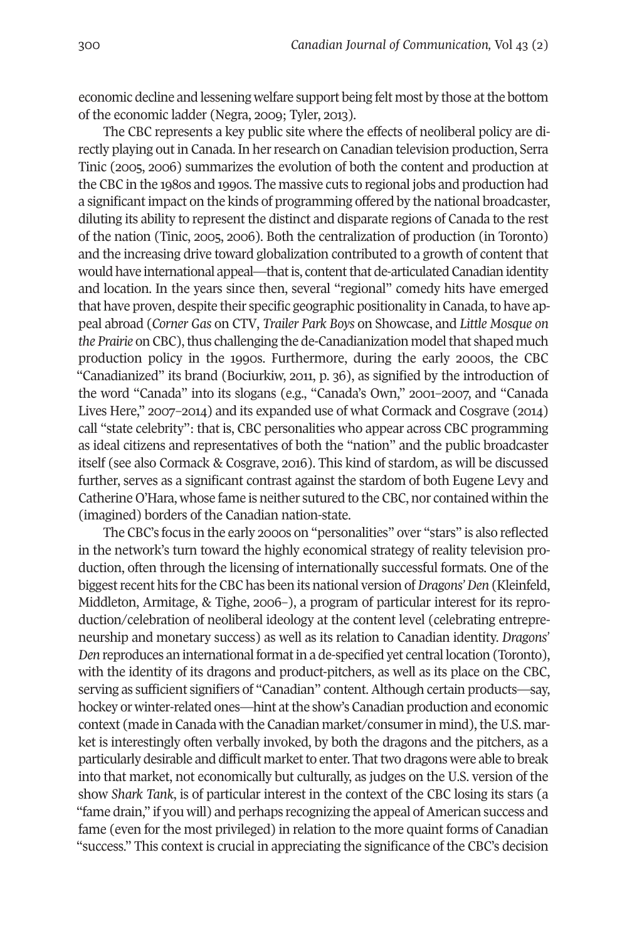economic decline and lessening welfare support being felt most by those atthe bottom of the economic ladder (Negra, 2009; Tyler, 2013).

The CBC represents a key public site where the effects of neoliberal policy are directly playing outin Canada. In herresearch on Canadian television production, Serra Tinic (2005, 2006) summarizes the evolution of both the content and production at the CBC in the 1980s and 1990s. The massive cuts to regional jobs and production had a significantimpact on the kinds of programming offered by the national broadcaster, diluting its ability to represent the distinct and disparate regions of Canada to the rest of the nation (Tinic, 2005, 2006). Both the centralization of production (in Toronto) and the increasing drive toward globalization contributed to a growth of content that would have international appeal—that is, content that de-articulated Canadian identity and location. In the years since then, several "regional" comedy hits have emerged that have proven, despite their specific geographic positionality in Canada, to have appeal abroad (*Corner Gas* on CTV, *Trailer Park Boys* on Showcase, and *Little Mosque on the Prairie* on CBC), thus challenging the de-Canadianization model that shaped much production policy in the 1990s. Furthermore, during the early 2000s, the CBC "Canadianized" its brand (Bociurkiw, 2011, p. 36), as signified by the introduction of the word "Canada" into its slogans (e.g., "Canada's Own," 2001–2007, and "Canada Lives Here," 2007–2014) and its expanded use of what Cormack and Cosgrave (2014) call "state celebrity": that is, CBC personalities who appear across CBC programming as ideal citizens and representatives of both the "nation" and the public broadcaster itself (see also Cormack & Cosgrave, 2016). This kind of stardom, as will be discussed further, serves as a significant contrast against the stardom of both Eugene Levy and Catherine O'Hara, whose fame is neither sutured to the CBC, nor contained within the (imagined) borders of the Canadian nation-state.

The CBC's focus in the early 2000s on "personalities" over "stars" is also reflected in the network's turn toward the highly economical strategy of reality television production, often through the licensing of internationally successful formats. One of the biggestrecent hits forthe CBC has been its national version of*Dragons'Den* (Kleinfeld, Middleton, Armitage, & Tighe, 2006–), a program of particular interest for its reproduction/celebration of neoliberal ideology at the content level (celebrating entrepreneurship and monetary success) as well as its relation to Canadian identity. *Dragons' Den* reproduces an international formatin a de-specified yet central location (Toronto), with the identity of its dragons and product-pitchers, as well as its place on the CBC, serving as sufficient signifiers of "Canadian" content.Although certain products—say, hockey or winter-related ones—hint at the show's Canadian production and economic context (made in Canada with the Canadian market/consumer in mind), the U.S. market is interestingly often verbally invoked, by both the dragons and the pitchers, as a particularly desirable and difficult market to enter. That two dragons were able to break into that market, not economically but culturally, as judges on the U.S. version of the show *Shark Tank*, is of particular interest in the context of the CBC losing its stars (a "fame drain," if you will) and perhaps recognizing the appeal of American success and fame (even for the most privileged) in relation to the more quaint forms of Canadian "success." This context is crucial in appreciating the significance of the CBC's decision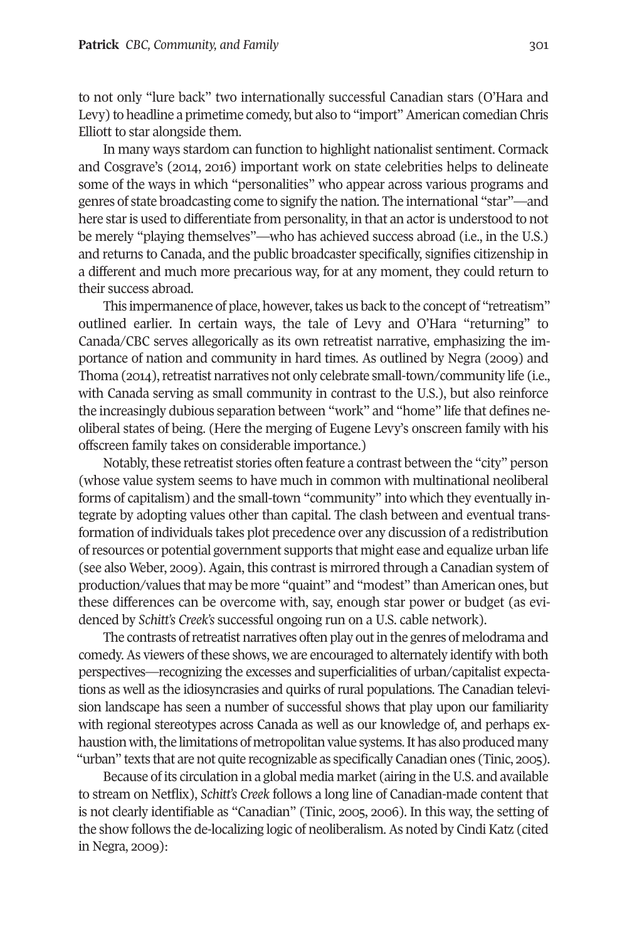to not only "lure back" two internationally successful Canadian stars (O'Hara and Levy) to headline a primetime comedy, but also to "import"American comedian Chris Elliott to star alongside them.

In many ways stardom can function to highlight nationalist sentiment. Cormack and Cosgrave's (2014, 2016) important work on state celebrities helps to delineate some of the ways in which "personalities" who appear across various programs and genres of state broadcasting come to signify the nation. The international "star"—and here star is used to differentiate from personality, in that an actor is understood to not be merely "playing themselves"—who has achieved success abroad (i.e., in the U.S.) and returns to Canada, and the public broadcaster specifically, signifies citizenship in a different and much more precarious way, for at any moment, they could return to their success abroad.

This impermanence of place, however, takes us back to the concept of "retreatism" outlined earlier. In certain ways, the tale of Levy and O'Hara "returning" to Canada/CBC serves allegorically as its own retreatist narrative, emphasizing the importance of nation and community in hard times. As outlined by Negra (2009) and Thoma  $(2014)$ , retreatist narratives not only celebrate small-town/community life (i.e., with Canada serving as small community in contrast to the U.S.), but also reinforce the increasingly dubious separation between "work" and "home" life that defines neoliberal states of being. (Here the merging of Eugene Levy's onscreen family with his offscreen family takes on considerable importance.)

Notably, these retreatist stories often feature a contrast between the "city" person (whose value system seems to have much in common with multinational neoliberal forms of capitalism) and the small-town "community" into which they eventually integrate by adopting values other than capital. The clash between and eventual transformation of individuals takes plot precedence over any discussion of a redistribution ofresources or potential government supports that might ease and equalize urban life (see also Weber, 2009). Again, this contrast is mirrored through a Canadian system of production/values that may be more "quaint" and "modest" than American ones, but these differences can be overcome with, say, enough star power or budget (as evidenced by *Schitt's Creek's* successful ongoing run on a U.S. cable network).

The contrasts of retreatist narratives often play out in the genres of melodrama and comedy.As viewers ofthese shows, we are encouraged to alternately identify with both perspectives—recognizing the excesses and superficialities of urban/capitalist expectations as well as the idiosyncrasies and quirks of rural populations. The Canadian television landscape has seen a number of successful shows that play upon our familiarity with regional stereotypes across Canada as well as our knowledge of, and perhaps exhaustion with, the limitations of metropolitan value systems. It has also produced many "urban" texts that are not quite recognizable as specifically Canadian ones (Tinic, 2005).

Because of its circulation in a global media market (airing in the U.S. and available to stream on Netflix), *Schitt's Creek* follows a long line of Canadian-made content that is not clearly identifiable as "Canadian" (Tinic, 2005, 2006). In this way, the setting of the show follows the de-localizing logic of neoliberalism. As noted by Cindi Katz (cited in Negra, 2009):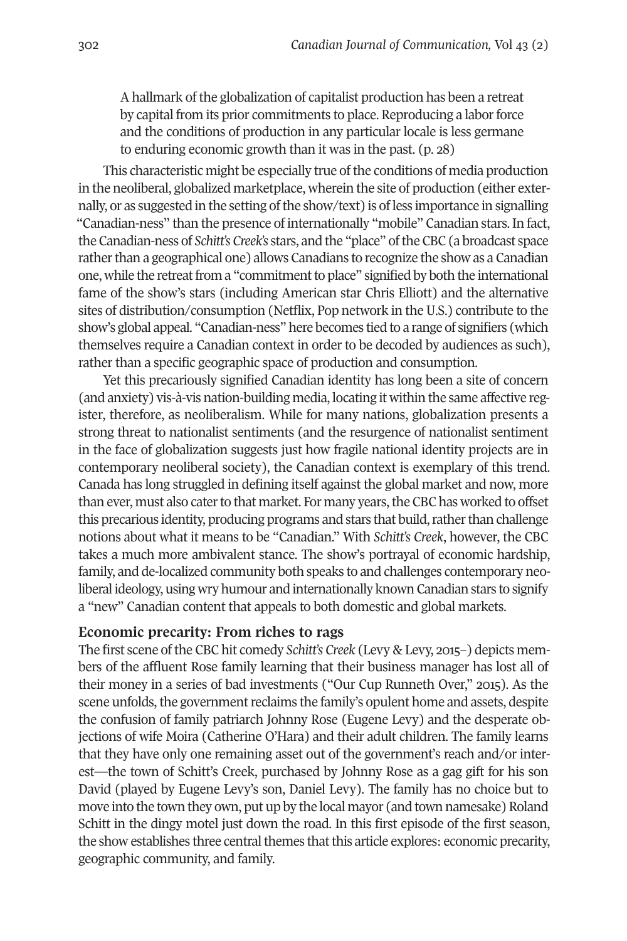A hallmark of the globalization of capitalist production has been a retreat by capital from its prior commitments to place. Reproducing a labor force and the conditions of production in any particular locale is less germane to enduring economic growth than it was in the past. (p. 28)

This characteristic might be especially true of the conditions of media production in the neoliberal, globalized marketplace, wherein the site of production (either externally, or as suggested in the setting of the show/text) is of less importance in signalling "Canadian-ness" than the presence of internationally "mobile" Canadian stars.In fact, the Canadian-ness of *Schitt's Creek's* stars, and the "place" ofthe CBC (a broadcast space rather than a geographical one) allows Canadians to recognize the show as a Canadian one, while the retreat from a "commitment to place" signified by both the international fame of the show's stars (including American star Chris Elliott) and the alternative sites of distribution/consumption (Netflix, Pop network in the U.S.) contribute to the show's global appeal. "Canadian-ness" here becomes tied to a range of signifiers (which themselves require a Canadian context in order to be decoded by audiences as such), rather than a specific geographic space of production and consumption.

Yet this precariously signified Canadian identity has long been a site of concern (and anxiety) vis-à-vis nation-building media, locating it within the same affective register, therefore, as neoliberalism. While for many nations, globalization presents a strong threat to nationalist sentiments (and the resurgence of nationalist sentiment in the face of globalization suggests just how fragile national identity projects are in contemporary neoliberal society), the Canadian context is exemplary of this trend. Canada has long struggled in defining itself against the global market and now, more than ever, must also cater to that market. For many years, the CBC has worked to offset this precarious identity, producing programs and stars that build, rather than challenge notions about what it means to be "Canadian." With *Schitt's Creek*, however, the CBC takes a much more ambivalent stance. The show's portrayal of economic hardship, family, and de-localized community both speaks to and challenges contemporary neoliberal ideology, using wry humour and internationally known Canadian stars to signify a "new" Canadian content that appeals to both domestic and global markets.

#### **Economic precarity: From riches to rags**

The first scene ofthe CBC hit comedy *Schitt's Creek* (Levy & Levy, 2015–) depicts members of the affluent Rose family learning that their business manager has lost all of their money in a series of bad investments ("Our Cup Runneth Over," 2015). As the scene unfolds, the government reclaims the family's opulent home and assets, despite the confusion of family patriarch Johnny Rose (Eugene Levy) and the desperate objections of wife Moira (Catherine O'Hara) and their adult children. The family learns that they have only one remaining asset out of the government's reach and/or interest—the town of Schitt's Creek, purchased by Johnny Rose as a gag gift for his son David (played by Eugene Levy's son, Daniel Levy). The family has no choice but to move into the town they own, put up by the local mayor (and town namesake) Roland Schitt in the dingy motel just down the road. In this first episode of the first season, the show establishes three central themes that this article explores: economic precarity, geographic community, and family.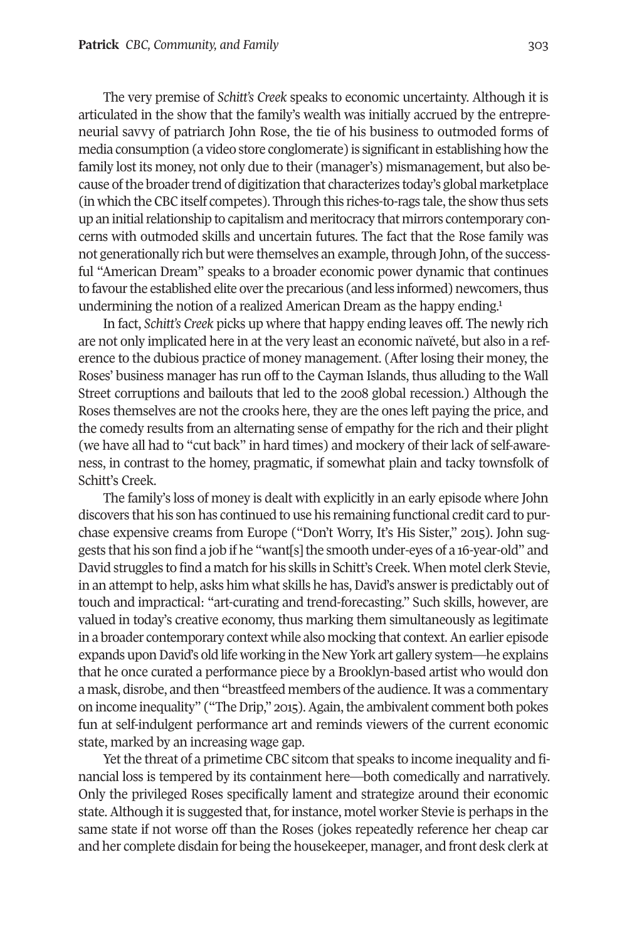The very premise of *Schitt's Creek* speaks to economic uncertainty. Although it is articulated in the show that the family's wealth was initially accrued by the entrepreneurial savvy of patriarch John Rose, the tie of his business to outmoded forms of media consumption (a video store conglomerate) is significantin establishing how the family lost its money, not only due to their (manager's) mismanagement, but also because ofthe broadertrend of digitization that characterizes today's global marketplace (in which the CBC itself competes). Through this riches-to-rags tale, the show thus sets up an initial relationship to capitalism and meritocracy that mirrors contemporary concerns with outmoded skills and uncertain futures. The fact that the Rose family was not generationally rich but were themselves an example, through John, of the successful "American Dream" speaks to a broader economic power dynamic that continues to favour the established elite over the precarious (and less infor[me](#page-16-0)d) newcomers, thus undermining the notion of a realized American Dream as the happy ending. 1

In fact, *Schitt's Creek* picks up where that happy ending leaves off. The newly rich are not only implicated here in at the very least an economic naïveté, but also in a reference to the dubious practice of money management. (After losing their money, the Roses' business manager has run off to the Cayman Islands, thus alluding to the Wall Street corruptions and bailouts that led to the 2008 global recession.) Although the Roses themselves are not the crooks here, they are the ones left paying the price, and the comedy results from an alternating sense of empathy for the rich and their plight (we have all had to "cut back" in hard times) and mockery of their lack of self-awareness, in contrast to the homey, pragmatic, if somewhat plain and tacky townsfolk of Schitt's Creek.

The family's loss of money is dealt with explicitly in an early episode where John discovers that his son has continued to use his remaining functional credit card to purchase expensive creams from Europe ("Don't Worry, It's His Sister," 2015). John suggests that his son find a job if he "want[s] the smooth under-eyes of a 16-year-old" and David struggles to find a match for his skills in Schitt's Creek. When motel clerk Stevie, in an attempt to help, asks him what skills he has, David's answer is predictably out of touch and impractical: "art-curating and trend-forecasting." Such skills, however, are valued in today's creative economy, thus marking them simultaneously as legitimate in a broader contemporary context while also mocking that context.An earlier episode expands uponDavid's old life working in the New York art gallery system—he explains that he once curated a performance piece by a Brooklyn-based artist who would don a mask, disrobe, and then "breastfeed members of the audience. It was a commentary on income inequality" ("The Drip," 2015). Again, the ambivalent comment both pokes fun at self-indulgent performance art and reminds viewers of the current economic state, marked by an increasing wage gap.

Yet the threat of a primetime CBC sitcom that speaks to income inequality and financial loss is tempered by its containment here—both comedically and narratively. Only the privileged Roses specifically lament and strategize around their economic state. Although it is suggested that, forinstance, motel worker Stevie is perhaps in the same state if not worse off than the Roses (jokes repeatedly reference her cheap car and her complete disdain for being the housekeeper, manager, and front desk clerk at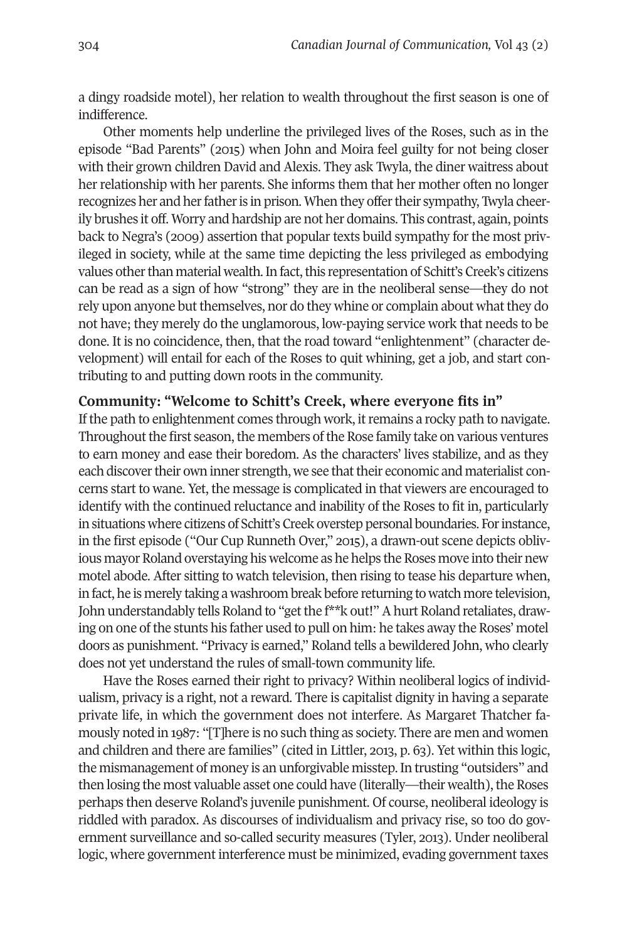a dingy roadside motel), her relation to wealth throughout the first season is one of indifference.

Other moments help underline the privileged lives of the Roses, such as in the episode "Bad Parents" (2015) when John and Moira feel guilty for not being closer with their grown children David and Alexis. They ask Twyla, the diner waitress about her relationship with her parents. She informs them that her mother often no longer recognizes her and her father is in prison. When they offer their sympathy, Twyla cheerily brushes it off. Worry and hardship are not her domains. This contrast, again, points back to Negra's (2009) assertion that popular texts build sympathy for the most privileged in society, while at the same time depicting the less privileged as embodying values other than material wealth. In fact, this representation of Schitt's Creek's citizens can be read as a sign of how "strong" they are in the neoliberal sense—they do not rely upon anyone but themselves, nor do they whine or complain about what they do not have; they merely do the unglamorous, low-paying service work that needs to be done. It is no coincidence, then, that the road toward "enlightenment" (character development) will entail for each of the Roses to quit whining, get a job, and start contributing to and putting down roots in the community.

# **Community: "Welcome to Schitt's Creek, where everyone fits in"**

If the path to enlightenment comes through work, it remains a rocky path to navigate. Throughout the first season, the members of the Rose family take on various ventures to earn money and ease their boredom. As the characters' lives stabilize, and as they each discover their own inner strength, we see that their economic and materialist concerns start to wane. Yet, the message is complicated in that viewers are encouraged to identify with the continued reluctance and inability of the Roses to fit in, particularly in situations where citizens of Schitt's Creek overstep personal boundaries. Forinstance, in the first episode ("Our Cup Runneth Over," 2015), a drawn-out scene depicts oblivious mayor Roland overstaying his welcome as he helps the Roses move into their new motel abode. After sitting to watch television, then rising to tease his departure when, in fact, he is merely taking a washroom break before returning to watch more television, John understandably tells Roland to "get the f\*\*k out!" A hurt Roland retaliates, drawing on one ofthe stunts his father used to pull on him: he takes away the Roses' motel doors as punishment. "Privacy is earned," Roland tells a bewildered John, who clearly does not yet understand the rules of small-town community life.

Have the Roses earned their right to privacy? Within neoliberal logics of individualism, privacy is a right, not a reward. There is capitalist dignity in having a separate private life, in which the government does not interfere. As Margaret Thatcher famously noted in 1987: "[T]here is no such thing as society. There are men and women and children and there are families" (cited in Littler, 2013, p. 63). Yet within this logic, the mismanagement of money is an unforgivable misstep.In trusting "outsiders" and then losing the most valuable asset one could have (literally—their wealth), the Roses perhaps then deserve Roland's juvenile punishment. Of course, neoliberal ideology is riddled with paradox. As discourses of individualism and privacy rise, so too do government surveillance and so-called security measures (Tyler, 2013). Under neoliberal logic, where government interference must be minimized, evading government taxes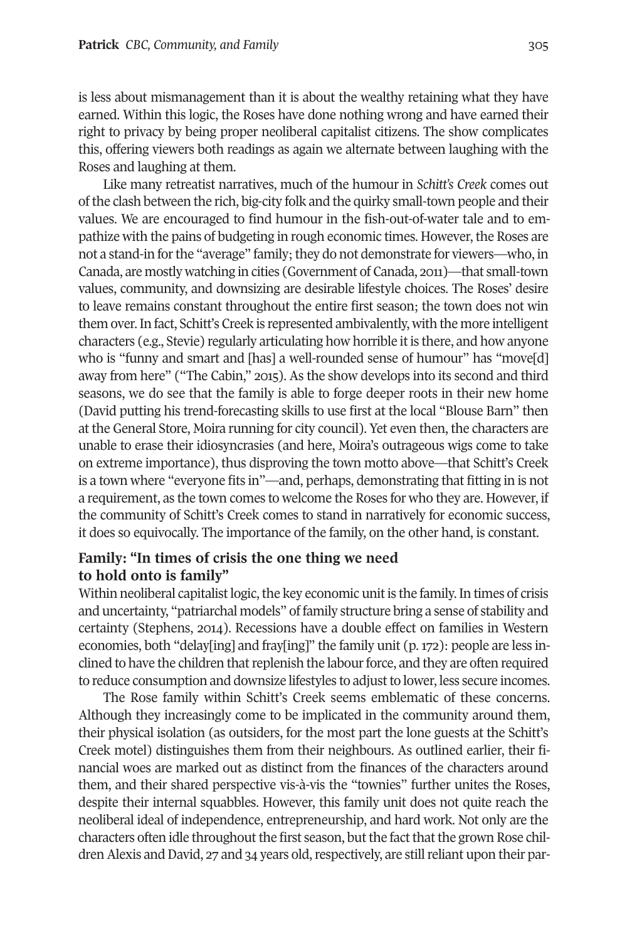is less about mismanagement than it is about the wealthy retaining what they have earned. Within this logic, the Roses have done nothing wrong and have earned their right to privacy by being proper neoliberal capitalist citizens. The show complicates this, offering viewers both readings as again we alternate between laughing with the Roses and laughing at them.

Like many retreatist narratives, much of the humour in *Schitt's Creek* comes out ofthe clash between the rich, big-city folk and the quirky small-town people and their values. We are encouraged to find humour in the fish-out-of-water tale and to empathize with the pains of budgeting in rough economic times. However, the Roses are not a stand-in for the "average" family; they do not demonstrate for viewers—who, in Canada, are mostly watching in cities (Government of Canada, 2011)—that small-town values, community, and downsizing are desirable lifestyle choices. The Roses' desire to leave remains constant throughout the entire first season; the town does not win them over.In fact, Schitt's Creek is represented ambivalently, with the more intelligent characters (e.g., Stevie) regularly articulating how horrible it is there, and how anyone who is "funny and smart and [has] a well-rounded sense of humour" has "move[d] away from here" ("The Cabin," 2015). As the show develops into its second and third seasons, we do see that the family is able to forge deeper roots in their new home (David putting his trend-forecasting skills to use first at the local "Blouse Barn" then at the General Store, Moira running for city council). Yet even then, the characters are unable to erase their idiosyncrasies (and here, Moira's outrageous wigs come to take on extreme importance), thus disproving the town motto above—that Schitt's Creek is a town where "everyone fits in"—and, perhaps, demonstrating that fitting in is not a requirement, as the town comes to welcome the Roses for who they are. However, if the community of Schitt's Creek comes to stand in narratively for economic success, it does so equivocally. The importance of the family, on the other hand, is constant.

# **Family: "In times of crisis the one thing we need to hold onto is family"**

Within neoliberal capitalist logic, the key economic unit is the family. In times of crisis and uncertainty, "patriarchal models" of family structure bring a sense of stability and certainty (Stephens, 2014). Recessions have a double effect on families in Western economies, both "delay[ing] and fray[ing]" the family unit (p. 172): people are less inclined to have the children that replenish the labour force, and they are often required to reduce consumption and downsize lifestyles to adjust to lower, less secure incomes.

The Rose family within Schitt's Creek seems emblematic of these concerns. Although they increasingly come to be implicated in the community around them, their physical isolation (as outsiders, for the most part the lone guests at the Schitt's Creek motel) distinguishes them from their neighbours. As outlined earlier, their financial woes are marked out as distinct from the finances of the characters around them, and their shared perspective vis-à-vis the "townies" further unites the Roses, despite their internal squabbles. However, this family unit does not quite reach the neoliberal ideal of independence, entrepreneurship, and hard work. Not only are the characters often idle throughout the first season, but the fact that the grown Rose children Alexis and David, 27 and 34 years old, respectively, are still reliant upon their par-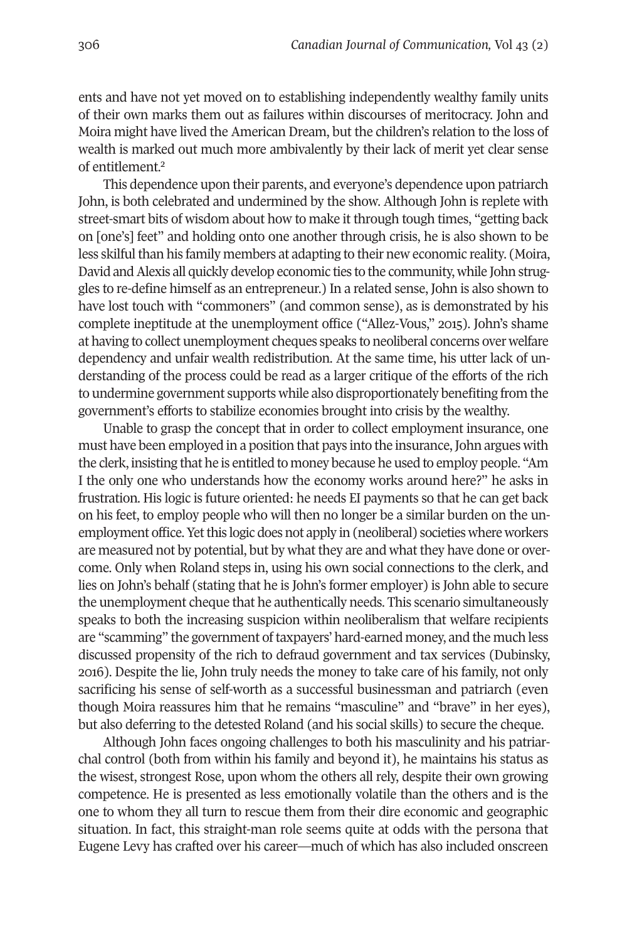ents and have not yet moved on to establishing independently wealthy family units of their own marks them out as failures within discourses of meritocracy. John and Moira might have lived the American Dream, but the children's relation to the loss of wealth is mar[ke](#page-16-1)d out much more ambivalently by their lack of merit yet clear sense of entitlement. 2

This dependence upon their parents, and everyone's dependence upon patriarch John, is both celebrated and undermined by the show. Although John is replete with street-smart bits of wisdom about how to make it through tough times, "getting back on [one's] feet" and holding onto one another through crisis, he is also shown to be less skilful than his family members at adapting to their new economic reality. (Moira, David and Alexis all quickly develop economic ties to the community, while John struggles to re-define himself as an entrepreneur.) In a related sense, John is also shown to have lost touch with "commoners" (and common sense), as is demonstrated by his complete ineptitude at the unemployment office ("Allez-Vous," 2015). John's shame at having to collect unemployment cheques speaks to neoliberal concerns over welfare dependency and unfair wealth redistribution. At the same time, his utter lack of understanding of the process could be read as a larger critique of the efforts of the rich to undermine government supports while also disproportionately benefiting from the government's efforts to stabilize economies brought into crisis by the wealthy.

Unable to grasp the concept that in order to collect employment insurance, one must have been employed in a position that pays into the insurance,John argues with the clerk, insisting that he is entitled to money because he used to employ people. "Am I the only one who understands how the economy works around here?" he asks in frustration. His logic is future oriented: he needs EI payments so that he can get back on his feet, to employ people who will then no longer be a similar burden on the unemployment office.Yetthis logic does not apply in (neoliberal) societies where workers are measured not by potential, but by what they are and what they have done or overcome. Only when Roland steps in, using his own social connections to the clerk, and lies on John's behalf (stating that he is John's former employer) is John able to secure the unemployment cheque that he authentically needs. This scenario simultaneously speaks to both the increasing suspicion within neoliberalism that welfare recipients are "scamming" the government oftaxpayers' hard-earned money, and the much less discussed propensity of the rich to defraud government and tax services (Dubinsky, 2016). Despite the lie, John truly needs the money to take care of his family, not only sacrificing his sense of self-worth as a successful businessman and patriarch (even though Moira reassures him that he remains "masculine" and "brave" in her eyes), but also deferring to the detested Roland (and his social skills) to secure the cheque.

Although John faces ongoing challenges to both his masculinity and his patriarchal control (both from within his family and beyond it), he maintains his status as the wisest, strongest Rose, upon whom the others all rely, despite their own growing competence. He is presented as less emotionally volatile than the others and is the one to whom they all turn to rescue them from their dire economic and geographic situation. In fact, this straight-man role seems quite at odds with the persona that Eugene Levy has crafted over his career—much of which has also included onscreen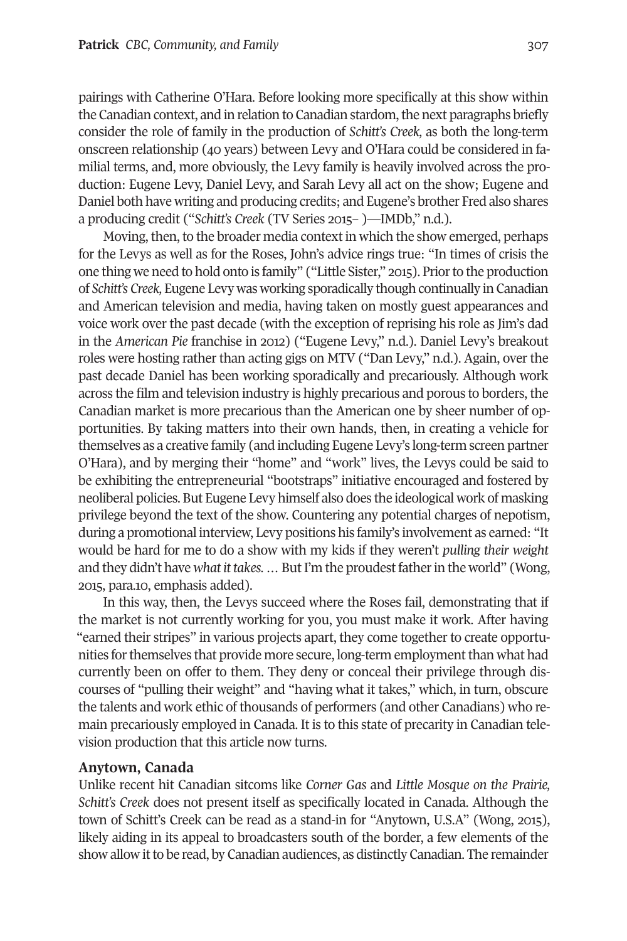pairings with Catherine O'Hara. Before looking more specifically at this show within the Canadian context, and in relation to Canadian stardom, the next paragraphs briefly consider the role of family in the production of *Schitt's Creek,* as both the long-term onscreen relationship (40 years) between Levy and O'Hara could be considered in familial terms, and, more obviously, the Levy family is heavily involved across the production: Eugene Levy, Daniel Levy, and Sarah Levy all act on the show; Eugene and Daniel both have writing and producing credits; and Eugene's brother Fred also shares a producing credit ("*Schitt's Creek* (TV Series 2015– )—IMDb," n.d.).

Moving, then, to the broader media context in which the show emerged, perhaps for the Levys as well as for the Roses, John's advice rings true: "In times of crisis the one thing we need to hold onto is family" ("Little Sister," 2015). Priorto the production of *Schitt's Creek,* Eugene Levy was working sporadically though continually in Canadian and American television and media, having taken on mostly guest appearances and voice work over the past decade (with the exception of reprising his role as Jim's dad in the *American Pie* franchise in 2012) ("Eugene Levy," n.d.). Daniel Levy's breakout roles were hosting rather than acting gigs on MTV ("Dan Levy," n.d.). Again, over the past decade Daniel has been working sporadically and precariously. Although work across the film and television industry is highly precarious and porous to borders, the Canadian market is more precarious than the American one by sheer number of opportunities. By taking matters into their own hands, then, in creating a vehicle for themselves as a creative family (and including Eugene Levy's long-term screen partner O'Hara), and by merging their "home" and "work" lives, the Levys could be said to be exhibiting the entrepreneurial "bootstraps" initiative encouraged and fostered by neoliberal policies. But Eugene Levy himself also does the ideological work of masking privilege beyond the text of the show. Countering any potential charges of nepotism, during a promotional interview, Levy positions his family's involvement as earned: "It would be hard for me to do a show with my kids if they weren't *pulling their weight* and they didn't have *what it takes.* ... But I'm the proudest father in the world" (Wong, 2015, para.10, emphasis added).

In this way, then, the Levys succeed where the Roses fail, demonstrating that if the market is not currently working for you, you must make it work. After having "earned their stripes" in various projects apart, they come together to create opportunities for themselves that provide more secure, long-term employment than what had currently been on offer to them. They deny or conceal their privilege through discourses of "pulling their weight" and "having what it takes," which, in turn, obscure the talents and work ethic of thousands of performers (and other Canadians) who remain precariously employed in Canada. It is to this state of precarity in Canadian television production that this article now turns.

# **Anytown, Canada**

Unlike recent hit Canadian sitcoms like *Corner Gas* and *Little Mosque on the Prairie, Schitt's Creek* does not present itself as specifically located in Canada. Although the town of Schitt's Creek can be read as a stand-in for "Anytown, U.S.A" (Wong, 2015), likely aiding in its appeal to broadcasters south of the border, a few elements of the show allow it to be read, by Canadian audiences, as distinctly Canadian. The remainder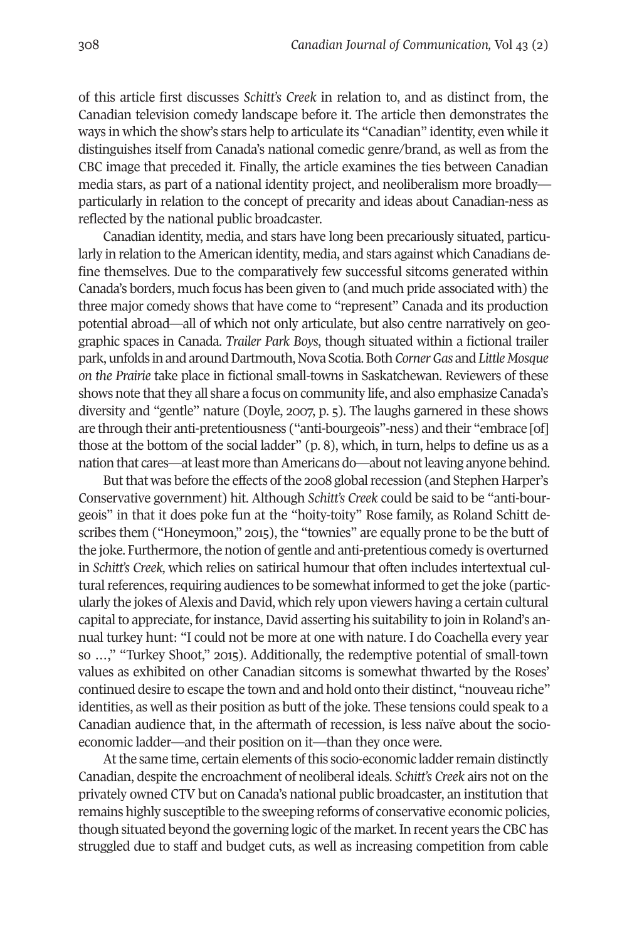of this article first discusses *Schitt's Creek* in relation to, and as distinct from, the Canadian television comedy landscape before it. The article then demonstrates the ways in which the show's stars help to articulate its "Canadian" identity, even while it distinguishes itself from Canada's national comedic genre/brand, as well as from the CBC image that preceded it. Finally, the article examines the ties between Canadian media stars, as part of a national identity project, and neoliberalism more broadly particularly in relation to the concept of precarity and ideas about Canadian-ness as reflected by the national public broadcaster.

Canadian identity, media, and stars have long been precariously situated, particularly in relation to the American identity, media, and stars against which Canadians define themselves. Due to the comparatively few successful sitcoms generated within Canada's borders, much focus has been given to (and much pride associated with) the three major comedy shows that have come to "represent" Canada and its production potential abroad—all of which not only articulate, but also centre narratively on geographic spaces in Canada. *Trailer Park Boys*, though situated within a fictional trailer park, unfolds in and aroundDartmouth, Nova Scotia.Both *CornerGas* and *Little Mosque on the Prairie* take place in fictional small-towns in Saskatchewan. Reviewers of these shows note that they all share a focus on community life, and also emphasize Canada's diversity and "gentle" nature (Doyle, 2007, p. 5). The laughs garnered in these shows are through their anti-pretentiousness ("anti-bourgeois"-ness) and their "embrace [of] those at the bottom of the social ladder" (p. 8), which, in turn, helps to define us as a nation that cares—atleast more thanAmericans do—about notleaving anyone behind.

But that was before the effects of the 2008 global recession (and Stephen Harper's Conservative government) hit. Although *Schitt's Creek* could be said to be "anti-bourgeois" in that it does poke fun at the "hoity-toity" Rose family, as Roland Schitt describes them ("Honeymoon," 2015), the "townies" are equally prone to be the butt of the joke. Furthermore, the notion of gentle and anti-pretentious comedy is overturned in *Schitt's Creek,* which relies on satirical humour that often includes intertextual cultural references, requiring audiences to be somewhat informed to get the joke (particularly the jokes of Alexis and David, which rely upon viewers having a certain cultural capital to appreciate, forinstance, David asserting his suitability to join in Roland's annual turkey hunt: "I could not be more at one with nature. I do Coachella every year so …," "Turkey Shoot," 2015). Additionally, the redemptive potential of small-town values as exhibited on other Canadian sitcoms is somewhat thwarted by the Roses' continued desire to escape the town and and hold onto their distinct, "nouveau riche" identities, as well as their position as butt of the joke. These tensions could speak to a Canadian audience that, in the aftermath of recession, is less naïve about the socioeconomic ladder—and their position on it—than they once were.

At the same time, certain elements of this socio-economic ladder remain distinctly Canadian, despite the encroachment of neoliberal ideals. *Schitt's Creek* airs not on the privately owned CTV but on Canada's national public broadcaster, an institution that remains highly susceptible to the sweeping reforms of conservative economic policies, though situated beyond the governing logic of the market. In recent years the CBC has struggled due to staff and budget cuts, as well as increasing competition from cable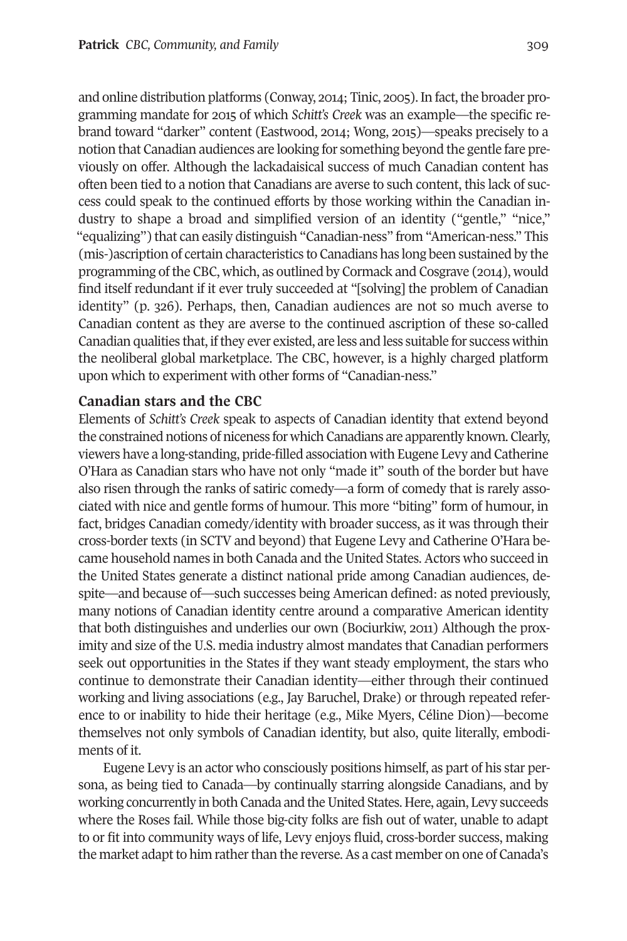and online distribution platforms (Conway, 2014; Tinic, 2005). In fact, the broader programming mandate for 2015 of which *Schitt's Creek* was an example—the specific rebrand toward "darker" content (Eastwood, 2014; Wong, 2015)—speaks precisely to a notion that Canadian audiences are looking for something beyond the gentle fare previously on offer. Although the lackadaisical success of much Canadian content has often been tied to a notion that Canadians are averse to such content, this lack of success could speak to the continued efforts by those working within the Canadian industry to shape a broad and simplified version of an identity ("gentle," "nice," "equalizing") that can easily distinguish "Canadian-ness" from "American-ness." This (mis-)ascription of certain characteristics to Canadians has long been sustained by the programming of the CBC, which, as outlined by Cormack and Cosgrave (2014), would find itself redundant if it ever truly succeeded at "[solving] the problem of Canadian identity" (p. 326). Perhaps, then, Canadian audiences are not so much averse to Canadian content as they are averse to the continued ascription of these so-called Canadian qualities that, if they ever existed, are less and less suitable for success within the neoliberal global marketplace. The CBC, however, is a highly charged platform upon which to experiment with other forms of "Canadian-ness."

### **Canadian stars and the CBC**

Elements of *Schitt's Creek* speak to aspects of Canadian identity that extend beyond the constrained notions of niceness for which Canadians are apparently known. Clearly, viewers have a long-standing, pride-filled association with Eugene Levy and Catherine O'Hara as Canadian stars who have not only "made it" south of the border but have also risen through the ranks of satiric comedy—a form of comedy that is rarely associated with nice and gentle forms of humour. This more "biting" form of humour, in fact, bridges Canadian comedy/identity with broader success, as it was through their cross-border texts (in SCTV and beyond) that Eugene Levy and Catherine O'Hara became household names in both Canada and the United States. Actors who succeed in the United States generate a distinct national pride among Canadian audiences, despite—and because of—such successes being American defined: as noted previously, many notions of Canadian identity centre around a comparative American identity that both distinguishes and underlies our own (Bociurkiw, 2011) Although the proximity and size of the U.S. media industry almost mandates that Canadian performers seek out opportunities in the States if they want steady employment, the stars who continue to demonstrate their Canadian identity—either through their continued working and living associations (e.g., Jay Baruchel, Drake) or through repeated reference to or inability to hide their heritage (e.g., Mike Myers, Céline Dion)—become themselves not only symbols of Canadian identity, but also, quite literally, embodiments of it.

Eugene Levy is an actor who consciously positions himself, as part of his star persona, as being tied to Canada—by continually starring alongside Canadians, and by working concurrently in both Canada and the United States. Here, again, Levy succeeds where the Roses fail. While those big-city folks are fish out of water, unable to adapt to or fit into community ways of life, Levy enjoys fluid, cross-border success, making the market adapt to him rather than the reverse. As a cast member on one of Canada's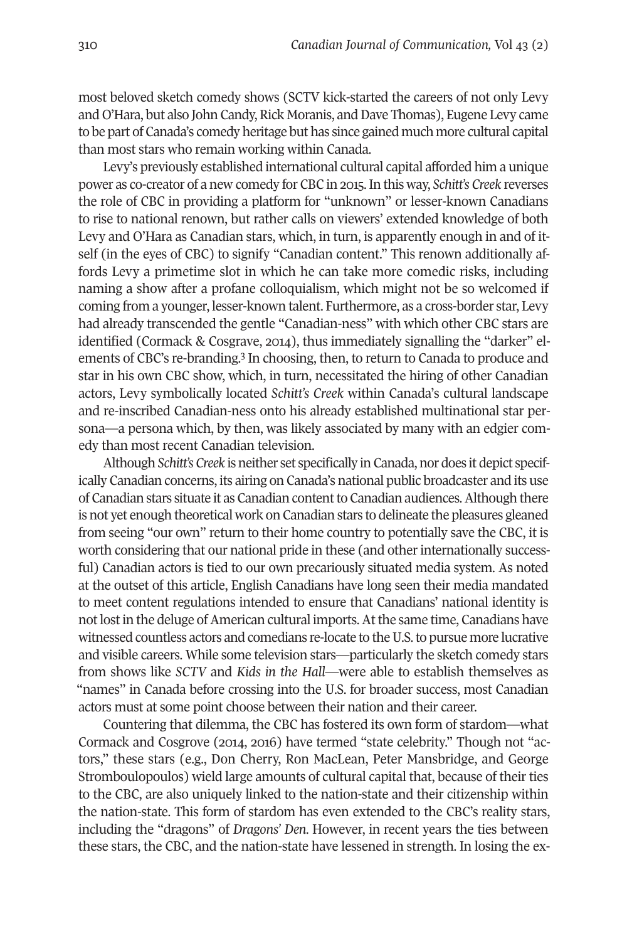most beloved sketch comedy shows (SCTV kick-started the careers of not only Levy and O'Hara, but also John Candy, Rick Moranis, and Dave Thomas), Eugene Levy came to be part of Canada's comedy heritage but has since gained much more cultural capital than most stars who remain working within Canada.

Levy's previously established international cultural capital afforded him a unique power as co-creator of a new comedy for CBC in 2015.In this way, *Schitt's Creek* reverses the role of CBC in providing a platform for "unknown" or lesser-known Canadians to rise to national renown, but rather calls on viewers' extended knowledge of both Levy and O'Hara as Canadian stars, which, in turn, is apparently enough in and of itself (in the eyes of CBC) to signify "Canadian content." This renown additionally affords Levy a primetime slot in which he can take more comedic risks, including naming a show after a profane colloquialism, which might not be so welcomed if coming from a younger, lesser-known talent. Furthermore, as a cross-border star, Levy had already transcended the gentle "Canadian-ness" with which other CBC stars are identified (Cormack & Cosg[rav](#page-16-2)e, 2014), thus immediately signalling the "darker" elements of CBC's re-branding. <sup>3</sup> In choosing, then, to return to Canada to produce and star in his own CBC show, which, in turn, necessitated the hiring of other Canadian actors, Levy symbolically located *Schitt's Creek* within Canada's cultural landscape and re-inscribed Canadian-ness onto his already established multinational star persona—a persona which, by then, was likely associated by many with an edgier comedy than most recent Canadian television.

Although *Schitt's Creek* is neither set specifically in Canada, nor does it depict specifically Canadian concerns, its airing on Canada's national public broadcaster and its use of Canadian stars situate it as Canadian contentto Canadian audiences.Although there is not yet enough theoretical work on Canadian stars to delineate the pleasures gleaned from seeing "our own" return to their home country to potentially save the CBC, it is worth considering that our national pride in these (and other internationally successful) Canadian actors is tied to our own precariously situated media system. As noted at the outset of this article, English Canadians have long seen their media mandated to meet content regulations intended to ensure that Canadians' national identity is not lost in the deluge of American cultural imports. At the same time, Canadians have witnessed countless actors and comedians re-locate to the U.S. to pursue more lucrative and visible careers. While some television stars—particularly the sketch comedy stars from shows like *SCTV* and *Kids in the Hall*—were able to establish themselves as "names" in Canada before crossing into the U.S. for broader success, most Canadian actors must at some point choose between their nation and their career.

Countering that dilemma, the CBC has fostered its own form of stardom—what Cormack and Cosgrove (2014, 2016) have termed "state celebrity." Though not "actors," these stars (e.g., Don Cherry, Ron MacLean, Peter Mansbridge, and George Stromboulopoulos) wield large amounts of cultural capital that, because of their ties to the CBC, are also uniquely linked to the nation-state and their citizenship within the nation-state. This form of stardom has even extended to the CBC's reality stars, including the "dragons" of *Dragons' Den.* However, in recent years the ties between these stars, the CBC, and the nation-state have lessened in strength. In losing the ex-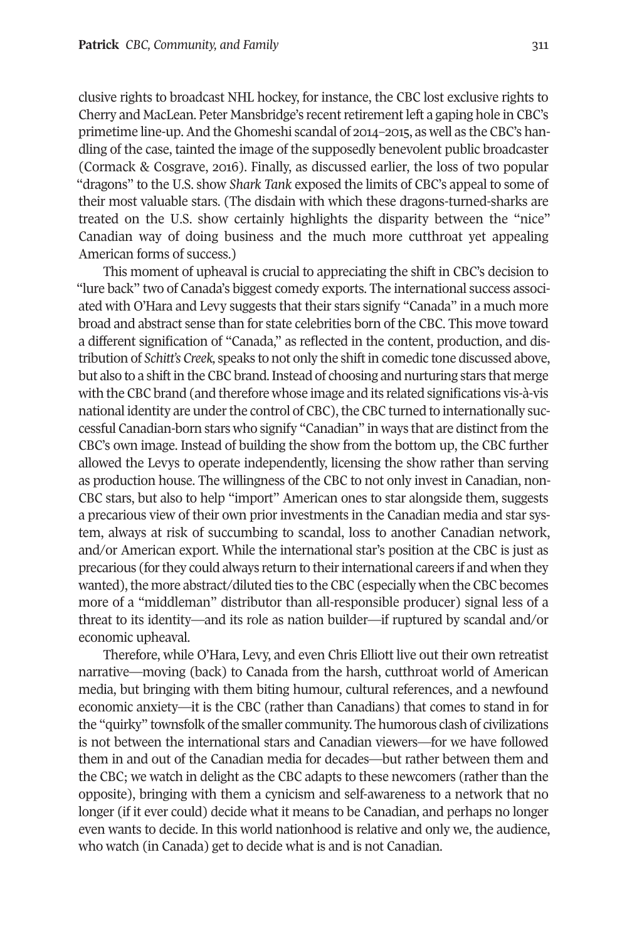clusive rights to broadcast NHL hockey, for instance, the CBC lost exclusive rights to Cherry and MacLean. Peter Mansbridge's recent retirement left a gaping hole in CBC's primetime line-up.And the Ghomeshi scandal of 2014–2015, as well as the CBC's handling of the case, tainted the image of the supposedly benevolent public broadcaster (Cormack & Cosgrave, 2016). Finally, as discussed earlier, the loss of two popular "dragons" to the U.S. show *Shark Tank* exposed the limits of CBC's appeal to some of their most valuable stars. (The disdain with which these dragons-turned-sharks are treated on the U.S. show certainly highlights the disparity between the "nice" Canadian way of doing business and the much more cutthroat yet appealing American forms of success.)

This moment of upheaval is crucial to appreciating the shift in CBC's decision to "lure back" two of Canada's biggest comedy exports. The international success associated with O'Hara and Levy suggests that their stars signify "Canada" in a much more broad and abstract sense than for state celebrities born of the CBC. This move toward a different signification of "Canada," as reflected in the content, production, and distribution of *Schitt's Creek,* speaks to not only the shiftin comedic tone discussed above, but also to a shift in the CBC brand. Instead of choosing and nurturing stars that merge with the CBC brand (and therefore whose image and its related significations vis-à-vis national identity are under the control of CBC), the CBC turned to internationally successful Canadian-born stars who signify "Canadian" in ways that are distinct from the CBC's own image. Instead of building the show from the bottom up, the CBC further allowed the Levys to operate independently, licensing the show rather than serving as production house. The willingness of the CBC to not only invest in Canadian, non-CBC stars, but also to help "import" American ones to star alongside them, suggests a precarious view of their own prior investments in the Canadian media and star system, always at risk of succumbing to scandal, loss to another Canadian network, and/or American export. While the international star's position at the CBC is just as precarious (for they could always return to their international careers if and when they wanted), the more abstract/diluted ties to the CBC (especially when the CBC becomes more of a "middleman" distributor than all-responsible producer) signal less of a threat to its identity—and its role as nation builder—if ruptured by scandal and/or economic upheaval.

Therefore, while O'Hara, Levy, and even Chris Elliott live out their own retreatist narrative—moving (back) to Canada from the harsh, cutthroat world of American media, but bringing with them biting humour, cultural references, and a newfound economic anxiety—it is the CBC (rather than Canadians) that comes to stand in for the "quirky" townsfolk of the smaller community. The humorous clash of civilizations is not between the international stars and Canadian viewers—for we have followed them in and out of the Canadian media for decades—but rather between them and the CBC; we watch in delight as the CBC adapts to these newcomers (rather than the opposite), bringing with them a cynicism and self-awareness to a network that no longer (if it ever could) decide what it means to be Canadian, and perhaps no longer even wants to decide. In this world nationhood is relative and only we, the audience, who watch (in Canada) get to decide what is and is not Canadian.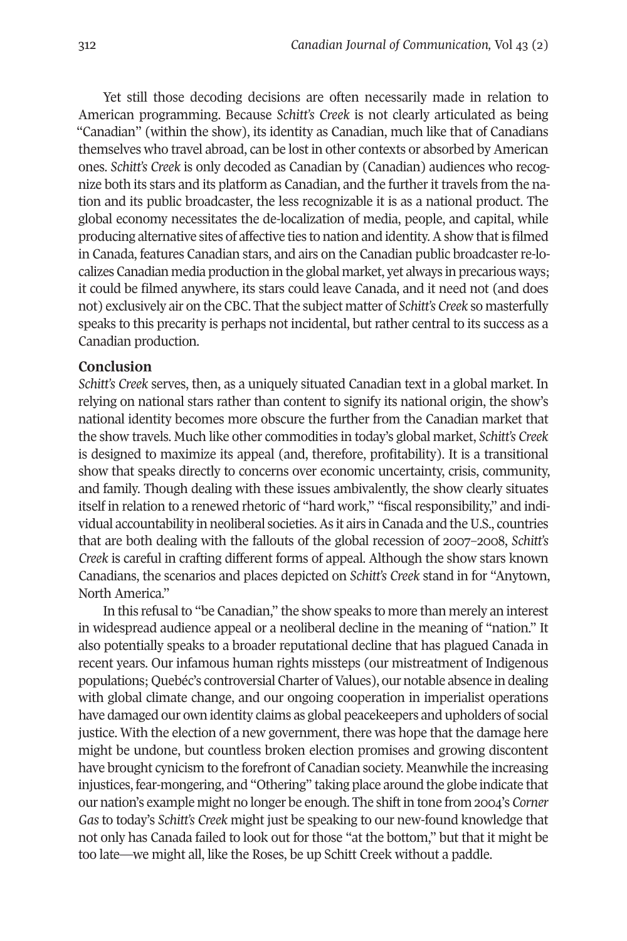Yet still those decoding decisions are often necessarily made in relation to American programming. Because *Schitt's Creek* is not clearly articulated as being "Canadian" (within the show), its identity as Canadian, much like that of Canadians themselves who travel abroad, can be lost in other contexts or absorbed by American ones. *Schitt's Creek* is only decoded as Canadian by (Canadian) audiences who recognize both its stars and its platform as Canadian, and the further it travels from the nation and its public broadcaster, the less recognizable it is as a national product. The global economy necessitates the de-localization of media, people, and capital, while producing alternative sites of affective ties to nation and identity. A show that is filmed in Canada, features Canadian stars, and airs on the Canadian public broadcasterre-localizes Canadian media production in the global market, yet always in precarious ways; it could be filmed anywhere, its stars could leave Canada, and it need not (and does not) exclusively air on the CBC. That the subject matter of *Schitt's Creek* so masterfully speaks to this precarity is perhaps not incidental, but rather central to its success as a Canadian production.

#### **Conclusion**

*Schitt's Creek* serves, then, as a uniquely situated Canadian text in a global market. In relying on national stars rather than content to signify its national origin, the show's national identity becomes more obscure the further from the Canadian market that the show travels. Much like other commodities in today's global market, *Schitt's Creek* is designed to maximize its appeal (and, therefore, profitability). It is a transitional show that speaks directly to concerns over economic uncertainty, crisis, community, and family. Though dealing with these issues ambivalently, the show clearly situates itself in relation to a renewed rhetoric of "hard work," "fiscal responsibility," and individual accountability in neoliberal societies.As it airs in Canada and theU.S., countries that are both dealing with the fallouts of the global recession of 2007–2008, *Schitt's Creek* is careful in crafting different forms of appeal. Although the show stars known Canadians, the scenarios and places depicted on *Schitt's Creek* stand in for "Anytown, North America."

In this refusal to "be Canadian," the show speaks to more than merely an interest in widespread audience appeal or a neoliberal decline in the meaning of "nation." It also potentially speaks to a broader reputational decline that has plagued Canada in recent years. Our infamous human rights missteps (our mistreatment of Indigenous populations; Quebéc's controversial Charter of Values), our notable absence in dealing with global climate change, and our ongoing cooperation in imperialist operations have damaged our own identity claims as global peacekeepers and upholders of social justice. With the election of a new government, there was hope that the damage here might be undone, but countless broken election promises and growing discontent have brought cynicism to the forefront of Canadian society. Meanwhile the increasing injustices, fear-mongering, and "Othering" taking place around the globe indicate that our nation's example might no longer be enough. The shiftin tone from 2004's *Corner Gas* to today's *Schitt's Creek* might just be speaking to our new-found knowledge that not only has Canada failed to look out for those "at the bottom," but that it might be too late—we might all, like the Roses, be up Schitt Creek without a paddle.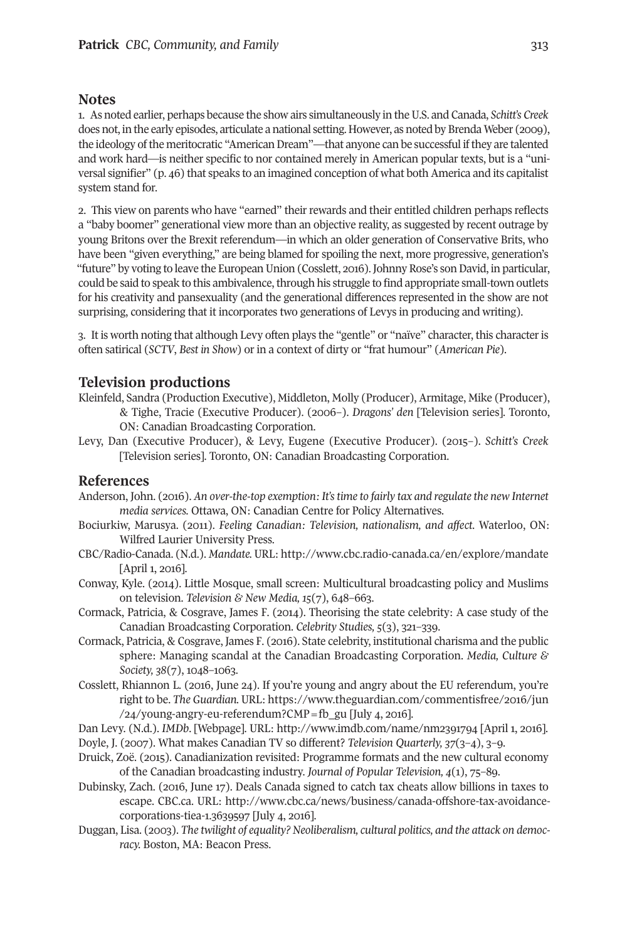## <span id="page-16-0"></span>**Notes**

1. As noted earlier, perhaps because the show airs simultaneously in theU.S. and Canada, *Schitt's Creek* does not, in the early episodes, articulate a national setting. However, as noted by Brenda Weber (2009), the ideology ofthe meritocratic "AmericanDream"—that anyone can be successful ifthey are talented and work hard—is neither specific to nor contained merely in American popular texts, but is a "universal signifier" (p. 46) that speaks to an imagined conception of what both America and its capitalist system stand for.

<span id="page-16-1"></span>2. This view on parents who have "earned" their rewards and their entitled children perhaps reflects a "baby boomer" generational view more than an objective reality, as suggested by recent outrage by young Britons over the Brexit referendum—in which an older generation of Conservative Brits, who have been "given everything," are being blamed for spoiling the next, more progressive, generation's "future" by voting to leave the European Union (Cosslett, 2016). Johnny Rose's son David, in particular, could be said to speak to this ambivalence, through his struggle to find appropriate small-town outlets for his creativity and pansexuality (and the generational differences represented in the show are not surprising, considering that it incorporates two generations of Levys in producing and writing).

<span id="page-16-2"></span>3. It is worth noting that although Levy often plays the "gentle" or "naïve" character, this characteris often satirical (*SCTV*, *Best in Show*) or in a context of dirty or "frat humour" (*American Pie*).

# **Television productions**

- Kleinfeld, Sandra (Production Executive), Middleton, Molly (Producer), Armitage, Mike (Producer), & Tighe, Tracie (Executive Producer). (2006–). *Dragons' den* [Television series]. Toronto, ON: Canadian Broadcasting Corporation.
- Levy, Dan (Executive Producer), & Levy, Eugene (Executive Producer). (2015–). *Schitt's Creek* [Television series]. Toronto, ON: Canadian Broadcasting Corporation.

#### **References**

- Anderson, John. (2016). *An over-the-top exemption: It'stime to fairly tax and regulate the new Internet media services.* Ottawa, ON: Canadian Centre for Policy Alternatives.
- Bociurkiw, Marusya. (2011). *Feeling Canadian: Television, nationalism, and affect.* Waterloo, ON: Wilfred Laurier University Press.
- CBC/Radio-Canada. (N.d.). *Mandate.* URL: <http://www.cbc.radio-canada.ca/en/explore/mandate> [April 1, 2016].
- Conway, Kyle. (2014). Little Mosque, small screen: Multicultural broadcasting policy and Muslims on television. *Television & New Media, 15*(7), 648–663.
- Cormack, Patricia, & Cosgrave, James F. (2014). Theorising the state celebrity: A case study of the Canadian Broadcasting Corporation. *Celebrity Studies, 5*(3), 321–339.
- Cormack, Patricia, & Cosgrave, James F. (2016). State celebrity, institutional charisma and the public sphere: Managing scandal at the Canadian Broadcasting Corporation. *Media, Culture & Society, 38*(7), 1048–1063.
- Cosslett, Rhiannon L. (2016, June 24). If you're young and angry about the EU referendum, you're right to be. *The Guardian.* URL: [https://www.theguardian.com/commentisfree/2016/jun](https://www.theguardian.com/commentisfree/2016/jun/24/young-angry-eu-referendum?CMP=fb_gu) [/24/young-angry-eu-referendum?CMP=fb\\_gu](https://www.theguardian.com/commentisfree/2016/jun/24/young-angry-eu-referendum?CMP=fb_gu) [July 4, 2016].
- Dan Levy. (N.d.). *IMDb*. [Webpage]. URL: <http://www.imdb.com/name/nm2391794> [April 1, 2016].
- Doyle, J. (2007). What makes Canadian TV so different? *Television Quarterly, 37*(3–4), 3–9.
- Druick, Zoë. (2015). Canadianization revisited: Programme formats and the new cultural economy of the Canadian broadcasting industry. *Journal of Popular Television, 4*(1), 75–89.
- Dubinsky, Zach. (2016, June 17). Deals Canada signed to catch tax cheats allow billions in taxes to escape. CBC.ca. URL: [http://www.cbc.ca/news/business/canada-offshore-tax-avoidance](http://www.cbc.ca/news/business/canada-offshore-tax-avoidance-corporations-tiea-1.3639597)[corporations-tiea-1.3639597](http://www.cbc.ca/news/business/canada-offshore-tax-avoidance-corporations-tiea-1.3639597) [July 4, 2016].
- Duggan, Lisa. (2003). *The twilight of equality? Neoliberalism, cultural politics, and the attack on democracy.* Boston, MA: Beacon Press.